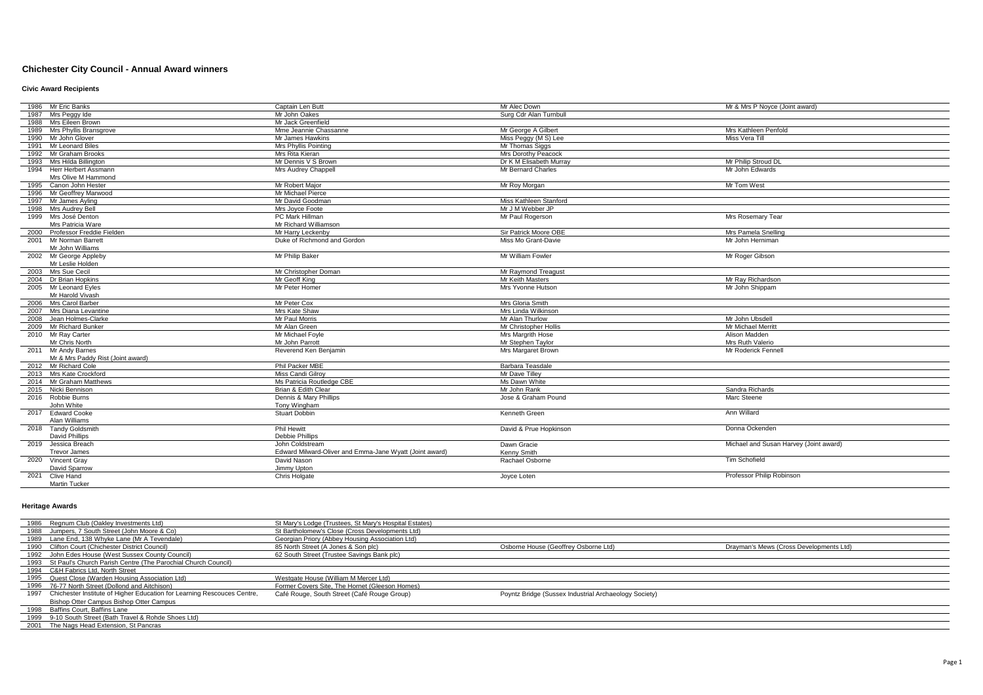# **Chichester City Council - Annual Award winners**

### **Civic Award Recipients**

|      | 1986 Mr Eric Banks                | Captain Len Butt                                        | Mr Alec Down            | Mr & Mrs P Noyce (Joint award)         |
|------|-----------------------------------|---------------------------------------------------------|-------------------------|----------------------------------------|
|      | 1987 Mrs Peggy Ide                | Mr John Oakes                                           | Surg Cdr Alan Turnbull  |                                        |
|      | 1988 Mrs Eileen Brown             | Mr Jack Greenfield                                      |                         |                                        |
|      | 1989 Mrs Phyllis Bransgrove       | Mme Jeannie Chassanne                                   | Mr George A Gilbert     | Mrs Kathleen Penfold                   |
|      | 1990 Mr John Glover               | Mr James Hawkins                                        | Miss Peggy (M S) Lee    | Miss Vera Till                         |
|      | 1991 Mr Leonard Biles             | <b>Mrs Phyllis Pointing</b>                             | Mr Thomas Siggs         |                                        |
|      | 1992 Mr Graham Brooks             | Mrs Rita Kieran                                         | Mrs Dorothy Peacock     |                                        |
|      | 1993 Mrs Hilda Billington         | Mr Dennis V S Brown                                     | Dr K M Elisabeth Murray | Mr Philip Stroud DL                    |
|      | 1994 Herr Herbert Assmann         | Mrs Audrey Chappell                                     | Mr Bernard Charles      | Mr John Edwards                        |
|      | Mrs Olive M Hammond               |                                                         |                         |                                        |
|      | 1995 Canon John Hester            | Mr Robert Maior                                         | Mr Roy Morgan           | Mr Tom West                            |
|      | 1996 Mr Geoffrey Marwood          | Mr Michael Pierce                                       |                         |                                        |
|      | 1997 Mr James Avling              | Mr David Goodman                                        | Miss Kathleen Stanford  |                                        |
|      | 1998 Mrs Audrey Bell              | Mrs Jovce Foote                                         | Mr J M Webber JP        |                                        |
|      | 1999 Mrs José Denton              | PC Mark Hillman                                         | Mr Paul Rogerson        | Mrs Rosemary Tear                      |
|      | Mrs Patricia Ware                 | Mr Richard Williamson                                   |                         |                                        |
|      | 2000 Professor Freddie Fielden    | Mr Harry Leckenby                                       | Sir Patrick Moore OBE   | Mrs Pamela Snelling                    |
|      | 2001 Mr Norman Barrett            | Duke of Richmond and Gordon                             | Miss Mo Grant-Davie     | Mr John Herniman                       |
|      | Mr John Williams                  |                                                         |                         |                                        |
|      | 2002 Mr George Appleby            | Mr Philip Baker                                         | Mr William Fowler       | Mr Roger Gibson                        |
|      | Mr Leslie Holden                  |                                                         |                         |                                        |
|      | 2003 Mrs Sue Cecil                | Mr Christopher Doman                                    | Mr Raymond Treagust     |                                        |
|      | 2004 Dr Brian Hopkins             | Mr Geoff King                                           | Mr Keith Masters        | Mr Rav Richardson                      |
|      | 2005 Mr Leonard Eyles             | Mr Peter Homer                                          | Mrs Yvonne Hutson       | Mr John Shippam                        |
|      | Mr Harold Vivash                  |                                                         |                         |                                        |
|      | 2006 Mrs Carol Barber             | Mr Peter Cox                                            | Mrs Gloria Smith        |                                        |
|      | 2007 Mrs Diana Levantine          | Mrs Kate Shaw                                           | Mrs Linda Wilkinson     |                                        |
|      | 2008 Jean Holmes-Clarke           | <b>Mr Paul Morris</b>                                   | Mr Alan Thurlow         | Mr John Ubsdell                        |
|      | 2009 Mr Richard Bunker            | Mr Alan Green                                           | Mr Christopher Hollis   | Mr Michael Merritt                     |
|      | 2010 Mr Ray Carter                | Mr Michael Foyle                                        | Mrs Margrith Hose       | Alison Madden                          |
|      | Mr Chris North                    | Mr John Parrott                                         | Mr Stephen Taylor       | Mrs Ruth Valerio                       |
|      | 2011 Mr Andy Barnes               | Reverend Ken Beniamin                                   | Mrs Margaret Brown      | Mr Roderick Fennell                    |
|      | Mr & Mrs Paddy Rist (Joint award) |                                                         |                         |                                        |
|      | 2012 Mr Richard Cole              | Phil Packer MBE                                         | Barbara Teasdale        |                                        |
|      | 2013 Mrs Kate Crockford           | Miss Candi Gilrov                                       | Mr Dave Tillev          |                                        |
|      | 2014 Mr Graham Matthews           | Ms Patricia Routledge CBE                               | Ms Dawn White           |                                        |
|      | 2015 Nicki Bennison               | Brian & Edith Clear                                     | Mr John Rank            | Sandra Richards                        |
|      | 2016 Robbie Burns                 | Dennis & Mary Phillips                                  | Jose & Graham Pound     | Marc Steene                            |
|      | John White                        | Tony Wingham                                            |                         |                                        |
|      | 2017 Edward Cooke                 | Stuart Dobbin                                           | Kenneth Green           | Ann Willard                            |
|      | Alan Williams                     |                                                         |                         |                                        |
|      | 2018 Tandy Goldsmith              | <b>Phil Hewitt</b>                                      | David & Prue Hopkinson  | Donna Ockenden                         |
|      | David Phillips                    | Debbie Phillips                                         |                         |                                        |
|      | 2019 Jessica Breach               | John Coldstream                                         | Dawn Gracie             | Michael and Susan Harvey (Joint award) |
|      | <b>Trevor James</b>               | Edward Milward-Oliver and Emma-Jane Wyatt (Joint award) | Kenny Smith             |                                        |
|      | 2020 Vincent Grav                 | David Nason                                             | Rachael Osborne         | <b>Tim Schofield</b>                   |
|      | David Sparrow                     | Jimmy Upton                                             |                         |                                        |
| 2021 | Clive Hand                        | Chris Holgate                                           | Joyce Loten             | Professor Philip Robinson              |
|      | Martin Tucker                     |                                                         |                         |                                        |

### **Heritage Awards**

| 1986 Regnum Club (Oakley Investments Ltd)                                    | St Mary's Lodge (Trustees, St Mary's Hospital Estates) |                                                       |                                         |
|------------------------------------------------------------------------------|--------------------------------------------------------|-------------------------------------------------------|-----------------------------------------|
| 1988 Jumpers, 7 South Street (John Moore & Co)                               | St Bartholomew's Close (Cross Developments Ltd)        |                                                       |                                         |
| 1989 Lane End, 138 Whyke Lane (Mr A Tevendale)                               | Georgian Priory (Abbey Housing Association Ltd)        |                                                       |                                         |
| 1990 Clifton Court (Chichester District Council)                             | 85 North Street (A Jones & Son plc)                    | Osborne House (Geoffrey Osborne Ltd)                  | Drayman's Mews (Cross Developments Ltd) |
| 1992 John Edes House (West Sussex County Council)                            | 62 South Street (Trustee Savings Bank plc)             |                                                       |                                         |
| 1993 St Paul's Church Parish Centre (The Parochial Church Council)           |                                                        |                                                       |                                         |
| 1994 C&H Fabrics Ltd, North Street                                           |                                                        |                                                       |                                         |
| 1995 Quest Close (Warden Housing Association Ltd)                            | Westgate House (William M Mercer Ltd)                  |                                                       |                                         |
| 1996 76-77 North Street (Dollond and Aitchison)                              | Former Covers Site, The Hornet (Gleeson Homes)         |                                                       |                                         |
| 1997 Chichester Institute of Higher Education for Learning Rescouces Centre, | Café Rouge, South Street (Café Rouge Group)            | Poyntz Bridge (Sussex Industrial Archaeology Society) |                                         |
| Bishop Otter Campus Bishop Otter Campus                                      |                                                        |                                                       |                                         |
| 1998 Baffins Court, Baffins Lane                                             |                                                        |                                                       |                                         |
| 1999 9-10 South Street (Bath Travel & Rohde Shoes Ltd)                       |                                                        |                                                       |                                         |
| 2001 The Nags Head Extension, St Pancras                                     |                                                        |                                                       |                                         |
|                                                                              |                                                        |                                                       |                                         |